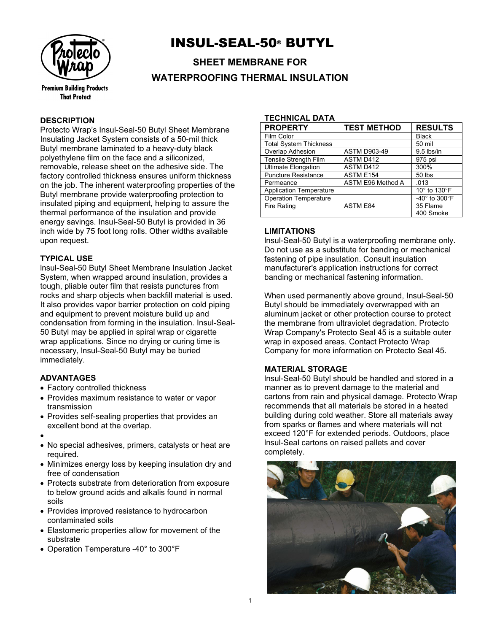

## INSUL-SEAL-50® BUTYL

**SHEET MEMBRANE FOR WATERPROOFING THERMAL INSULATION**

### **DESCRIPTION**

Protecto Wrap's Insul-Seal-50 Butyl Sheet Membrane Insulating Jacket System consists of a 50-mil thick Butyl membrane laminated to a heavy-duty black polyethylene film on the face and a siliconized, removable, release sheet on the adhesive side. The factory controlled thickness ensures uniform thickness on the job. The inherent waterproofing properties of the Butyl membrane provide waterproofing protection to insulated piping and equipment, helping to assure the thermal performance of the insulation and provide energy savings. Insul-Seal-50 Butyl is provided in 36 inch wide by 75 foot long rolls. Other widths available upon request.

### **TYPICAL USE**

lnsul-Seal-50 Butyl Sheet Membrane Insulation Jacket System, when wrapped around insulation, provides a tough, pliable outer film that resists punctures from rocks and sharp objects when backfill material is used. It also provides vapor barrier protection on cold piping and equipment to prevent moisture build up and condensation from forming in the insulation. Insul-Seal-50 Butyl may be applied in spiral wrap or cigarette wrap applications. Since no drying or curing time is necessary, lnsul-Seal-50 Butyl may be buried immediately.

### **ADVANTAGES**

- Factory controlled thickness
- Provides maximum resistance to water or vapor transmission
- Provides self-sealing properties that provides an excellent bond at the overlap.
- •
- No special adhesives, primers, catalysts or heat are required.
- Minimizes energy loss by keeping insulation dry and free of condensation
- Protects substrate from deterioration from exposure to below ground acids and alkalis found in normal soils
- Provides improved resistance to hydrocarbon contaminated soils
- Elastomeric properties allow for movement of the substrate
- Operation Temperature -40° to 300°F

#### **TECHNICAL DATA**

| <b>PROPERTY</b>                | <b>TEST METHOD</b>  | <b>RESULTS</b>                     |
|--------------------------------|---------------------|------------------------------------|
| Film Color                     |                     | <b>Black</b>                       |
| <b>Total System Thickness</b>  |                     | 50 mil                             |
| Overlap Adhesion               | <b>ASTM D903-49</b> | $9.5$ lbs/in                       |
| Tensile Strength Film          | ASTM D412           | 975 psi                            |
| <b>Ultimate Elongation</b>     | ASTM D412           | 300%                               |
| <b>Puncture Resistance</b>     | ASTM E154           | 50 lbs                             |
| Permeance                      | ASTM E96 Method A   | .013                               |
| <b>Application Temperature</b> |                     | 10° to 130°F                       |
| <b>Operation Temperature</b>   |                     | -40 $^{\circ}$ to 300 $^{\circ}$ F |
| <b>Fire Rating</b>             | <b>ASTM E84</b>     | 35 Flame<br>400 Smoke              |

### **LIMITATIONS**

lnsul-Seal-50 Butyl is a waterproofing membrane only. Do not use as a substitute for banding or mechanical fastening of pipe insulation. Consult insulation manufacturer's application instructions for correct banding or mechanical fastening information.

When used permanently above ground, Insul-Seal-50 Butyl should be immediately overwrapped with an aluminum jacket or other protection course to protect the membrane from ultraviolet degradation. Protecto Wrap Company's Protecto Seal 45 is a suitable outer wrap in exposed areas. Contact Protecto Wrap Company for more information on Protecto Seal 45.

### **MATERIAL STORAGE**

lnsul-Seal-50 Butyl should be handled and stored in a manner as to prevent damage to the material and cartons from rain and physical damage. Protecto Wrap recommends that all materials be stored in a heated building during cold weather. Store all materials away from sparks or flames and where materials will not exceed 120°F for extended periods. Outdoors, place lnsul-Seal cartons on raised pallets and cover completely.